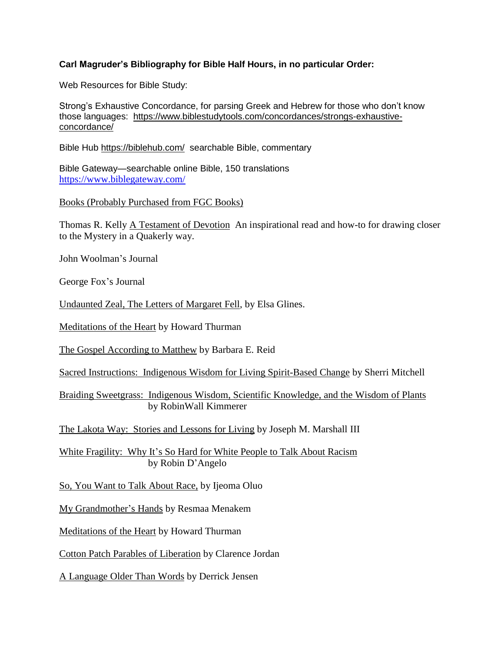## **Carl Magruder's Bibliography for Bible Half Hours, in no particular Order:**

Web Resources for Bible Study:

Strong's Exhaustive Concordance, for parsing Greek and Hebrew for those who don't know those languages: [https://www.biblestudytools.com/concordances/strongs-exhaustive](https://www.biblestudytools.com/concordances/strongs-exhaustive-concordance/)[concordance/](https://www.biblestudytools.com/concordances/strongs-exhaustive-concordance/)

Bible Hub <https://biblehub.com/>searchable Bible, commentary

Bible Gateway—searchable online Bible, 150 translations <https://www.biblegateway.com/>

Books (Probably Purchased from FGC Books)

Thomas R. Kelly A Testament of Devotion An inspirational read and how-to for drawing closer to the Mystery in a Quakerly way.

John Woolman's Journal

George Fox's Journal

Undaunted Zeal, The Letters of Margaret Fell, by Elsa Glines.

Meditations of the Heart by Howard Thurman

The Gospel According to Matthew by Barbara E. Reid

Sacred Instructions: Indigenous Wisdom for Living Spirit-Based Change by Sherri Mitchell

Braiding Sweetgrass: Indigenous Wisdom, Scientific Knowledge, and the Wisdom of Plants by RobinWall Kimmerer

The Lakota Way: Stories and Lessons for Living by Joseph M. Marshall III

White Fragility: Why It's So Hard for White People to Talk About Racism by Robin D'Angelo

So, You Want to Talk About Race, by Ijeoma Oluo

My Grandmother's Hands by Resmaa Menakem

Meditations of the Heart by Howard Thurman

Cotton Patch Parables of Liberation by Clarence Jordan

A Language Older Than Words by Derrick Jensen